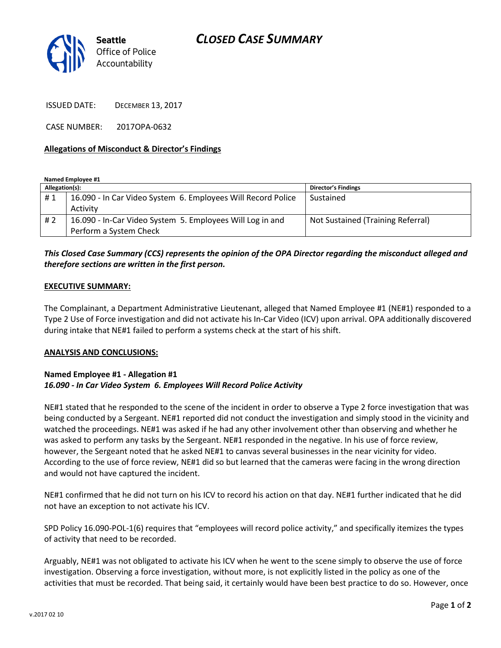# *CLOSED CASE SUMMARY*



ISSUED DATE: DECEMBER 13, 2017

CASE NUMBER: 2017OPA-0632

#### **Allegations of Misconduct & Director's Findings**

**Named Employee #1**

| Allegation(s): |                                                              | <b>Director's Findings</b>        |
|----------------|--------------------------------------------------------------|-----------------------------------|
| #1             | 16.090 - In Car Video System 6. Employees Will Record Police | Sustained                         |
|                | Activity                                                     |                                   |
| #2             | 16.090 - In-Car Video System 5. Employees Will Log in and    | Not Sustained (Training Referral) |
|                | Perform a System Check                                       |                                   |

## *This Closed Case Summary (CCS) represents the opinion of the OPA Director regarding the misconduct alleged and therefore sections are written in the first person.*

#### **EXECUTIVE SUMMARY:**

The Complainant, a Department Administrative Lieutenant, alleged that Named Employee #1 (NE#1) responded to a Type 2 Use of Force investigation and did not activate his In-Car Video (ICV) upon arrival. OPA additionally discovered during intake that NE#1 failed to perform a systems check at the start of his shift.

#### **ANALYSIS AND CONCLUSIONS:**

### **Named Employee #1 - Allegation #1** *16.090 - In Car Video System 6. Employees Will Record Police Activity*

NE#1 stated that he responded to the scene of the incident in order to observe a Type 2 force investigation that was being conducted by a Sergeant. NE#1 reported did not conduct the investigation and simply stood in the vicinity and watched the proceedings. NE#1 was asked if he had any other involvement other than observing and whether he was asked to perform any tasks by the Sergeant. NE#1 responded in the negative. In his use of force review, however, the Sergeant noted that he asked NE#1 to canvas several businesses in the near vicinity for video. According to the use of force review, NE#1 did so but learned that the cameras were facing in the wrong direction and would not have captured the incident.

NE#1 confirmed that he did not turn on his ICV to record his action on that day. NE#1 further indicated that he did not have an exception to not activate his ICV.

SPD Policy 16.090-POL-1(6) requires that "employees will record police activity," and specifically itemizes the types of activity that need to be recorded.

Arguably, NE#1 was not obligated to activate his ICV when he went to the scene simply to observe the use of force investigation. Observing a force investigation, without more, is not explicitly listed in the policy as one of the activities that must be recorded. That being said, it certainly would have been best practice to do so. However, once